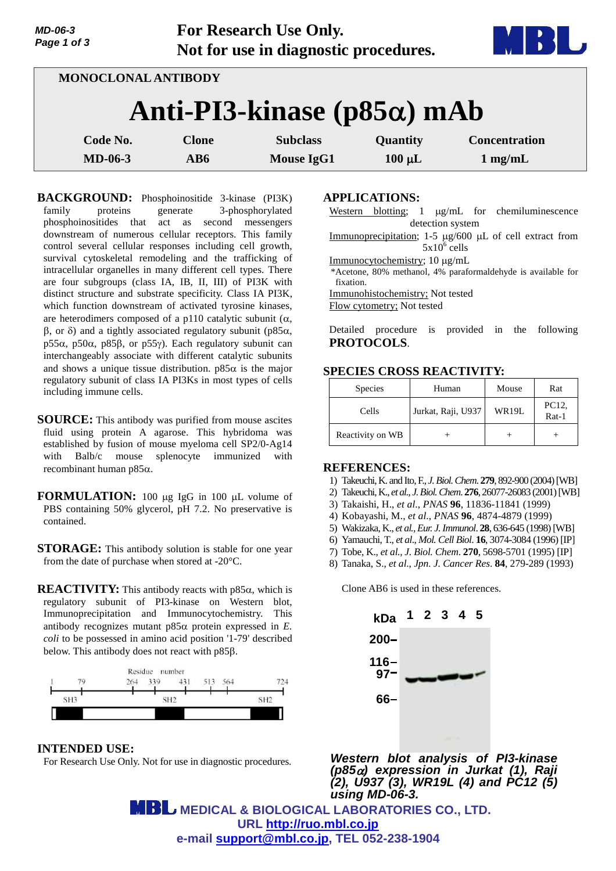| MD-06-3<br>Page 1 of 3 | <b>For Research Use Only.</b><br>Not for use in diagnostic procedures. | MBI U |
|------------------------|------------------------------------------------------------------------|-------|
|                        | MONOCLONAL ANTIBODY                                                    |       |
|                        | Anti-PI3-kinase ( $p85\alpha$ ) mAb                                    |       |

| Code No.       | Clone | <b>Subclass</b> | <b>Quantity</b> | <b>Concentration</b> |
|----------------|-------|-----------------|-----------------|----------------------|
| <b>MD-06-3</b> | AB6   | Mouse IgG1      | $100 \mu L$     | $1$ mg/mL            |

**BACKGROUND:** Phosphoinositide 3-kinase (PI3K) family proteins generate 3-phosphorylated phosphoinositides that act as second messengers downstream of numerous cellular receptors. This family control several cellular responses including cell growth, survival cytoskeletal remodeling and the trafficking of intracellular organelles in many different cell types. There are four subgroups (class IA, IB, II, III) of PI3K with distinct structure and substrate specificity. Class IA PI3K, which function downstream of activated tyrosine kinases, are heterodimers composed of a p110 catalytic subunit  $(\alpha, \alpha)$  $\beta$ , or  $\delta$ ) and a tightly associated regulatory subunit (p85 $\alpha$ , p55 $\alpha$ , p50 $\alpha$ , p85 $\beta$ , or p55 $\gamma$ ). Each regulatory subunit can interchangeably associate with different catalytic subunits and shows a unique tissue distribution.  $p85\alpha$  is the major regulatory subunit of class IA PI3Ks in most types of cells including immune cells.

- **SOURCE:** This antibody was purified from mouse ascites fluid using protein A agarose. This hybridoma was established by fusion of mouse myeloma cell SP2/0-Ag14 with Balb/c mouse splenocyte immunized with recombinant human p $85\alpha$ .
- **FORMULATION:** 100 µg IgG in 100 µL volume of PBS containing 50% glycerol, pH 7.2. No preservative is contained.
- **STORAGE:** This antibody solution is stable for one year from the date of purchase when stored at -20°C.
- **REACTIVITY:** This antibody reacts with  $p85\alpha$ , which is regulatory subunit of PI3-kinase on Western blot, Immunoprecipitation and Immunocytochemistry. This antibody recognizes mutant  $p85\alpha$  protein expressed in  $E$ . *coli* to be possessed in amino acid position '1-79' described below. This antibody does not react with p85 $\beta$ .



**INTENDED USE:** For Research Use Only. Not for use in diagnostic procedures.

### **APPLICATIONS:**

- Western blotting;  $1 \mu g/mL$  for chemiluminescence detection system
- Immunoprecipitation; 1-5 µg/600 µL of cell extract from  $5x10^6$  cells
- Immunocytochemistry; 10 μg/mL
- \*Acetone, 80% methanol, 4% paraformaldehyde is available for fixation.
- Immunohistochemistry; Not tested

Flow cytometry; Not tested

Detailed procedure is provided in the following **PROTOCOLS**.

## **SPECIES CROSS REACTIVITY:**

| <b>Species</b>   | Human              | Mouse | Rat            |
|------------------|--------------------|-------|----------------|
| Cells            | Jurkat, Raji, U937 | WR19L | PC12,<br>Rat-1 |
| Reactivity on WB |                    |       |                |

### **REFERENCES:**

- 1) Takeuchi, K. and Ito, F.*, J. Biol. Chem*. **279**, 892-900 (2004)[WB]
- 2) Takeuchi, K., *et al., J. Biol. Chem*. **276**, 26077-26083 (2001)[WB]
- 3) Takaishi, H., *et al*., *PNAS* **96**, 11836-11841 (1999)
- 4) Kobayashi, M., *et al*., *PNAS* **96**, 4874-4879 (1999)
- 5) Wakizaka, K., *et al.*, *Eur. J.Immunol*. **28**, 636-645 (1998)[WB]
- 6) Yamauchi, T., *et al*., *Mol. Cell Biol*. **16**, 3074-3084 (1996) [IP]
- 7) Tobe, K., *et al., J. Biol. Chem*. **270**, 5698-5701 (1995) [IP]
- 8) Tanaka, S., *et al*., *Jpn. J. Cancer Res*. **84**, 279-289 (1993)

Clone AB6 is used in these references.



*Western blot analysis of PI3-kinase (p85) expression in Jurkat (1), Raji (2), U937 (3), WR19L (4) and PC12 (5) using MD-06-3.*

 **MEDICAL & BIOLOGICAL LABORATORIES CO., LTD. URL <http://ruo.mbl.co.jp> e-mail [support@mbl.co.jp,](mailto:support@mbl.co.jp) TEL 052-238-1904**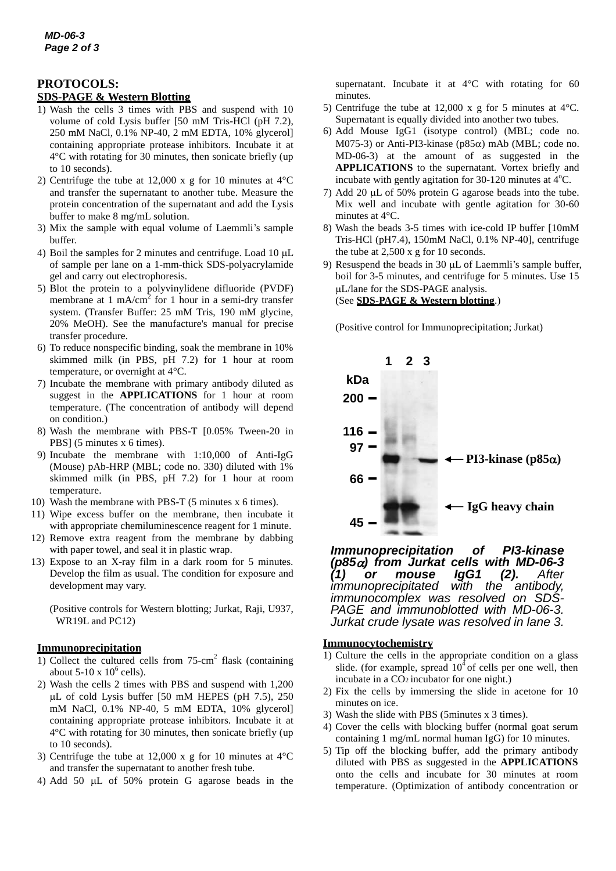## **PROTOCOLS:**

# **SDS-PAGE & Western Blotting**

- 1) Wash the cells 3 times with PBS and suspend with 10 volume of cold Lysis buffer [50 mM Tris-HCl (pH 7.2), 250 mM NaCl, 0.1% NP-40, 2 mM EDTA, 10% glycerol] containing appropriate protease inhibitors. Incubate it at 4°C with rotating for 30 minutes, then sonicate briefly (up to 10 seconds).
- 2) Centrifuge the tube at 12,000 x g for 10 minutes at 4°C and transfer the supernatant to another tube. Measure the protein concentration of the supernatant and add the Lysis buffer to make 8 mg/mL solution.
- 3) Mix the sample with equal volume of Laemmli's sample buffer.
- 4) Boil the samples for 2 minutes and centrifuge. Load 10  $\mu$ L of sample per lane on a 1-mm-thick SDS-polyacrylamide gel and carry out electrophoresis.
- 5) Blot the protein to a polyvinylidene difluoride (PVDF) membrane at 1 mA/cm<sup>2</sup> for 1 hour in a semi-dry transfer system. (Transfer Buffer: 25 mM Tris, 190 mM glycine, 20% MeOH). See the manufacture's manual for precise transfer procedure.
- 6) To reduce nonspecific binding, soak the membrane in 10% skimmed milk (in PBS, pH 7.2) for 1 hour at room temperature, or overnight at 4°C.
- 7) Incubate the membrane with primary antibody diluted as suggest in the **APPLICATIONS** for 1 hour at room temperature. (The concentration of antibody will depend on condition.)
- 8) Wash the membrane with PBS-T [0.05% Tween-20 in PBS] (5 minutes x 6 times).
- 9) Incubate the membrane with 1:10,000 of Anti-IgG (Mouse) pAb-HRP (MBL; code no. 330) diluted with 1% skimmed milk (in PBS, pH 7.2) for 1 hour at room temperature.
- 10) Wash the membrane with PBS-T (5 minutes x 6 times).
- 11) Wipe excess buffer on the membrane, then incubate it with appropriate chemiluminescence reagent for 1 minute.
- 12) Remove extra reagent from the membrane by dabbing with paper towel, and seal it in plastic wrap.
- 13) Expose to an X-ray film in a dark room for 5 minutes. Develop the film as usual. The condition for exposure and development may vary.

(Positive controls for Western blotting; Jurkat, Raji, U937, WR19L and PC12)

### **Immunoprecipitation**

- 1) Collect the cultured cells from 75-cm 2 flask (containing about  $5-10 \times 10^6$  cells).
- 2) Wash the cells 2 times with PBS and suspend with 1,200  $\mu$ L of cold Lysis buffer [50 mM HEPES (pH 7.5), 250 mM NaCl, 0.1% NP-40, 5 mM EDTA, 10% glycerol] containing appropriate protease inhibitors. Incubate it at 4°C with rotating for 30 minutes, then sonicate briefly (up to 10 seconds).
- 3) Centrifuge the tube at 12,000 x g for 10 minutes at 4°C and transfer the supernatant to another fresh tube.
- 4) Add 50 µL of 50% protein G agarose beads in the

supernatant. Incubate it at  $4^{\circ}$ C with rotating for 60 minutes.

- 5) Centrifuge the tube at 12,000 x g for 5 minutes at 4°C. Supernatant is equally divided into another two tubes.
- 6) Add Mouse IgG1 (isotype control) (MBL; code no. M075-3) or Anti-PI3-kinase ( $p85\alpha$ ) mAb (MBL; code no. MD-06-3) at the amount of as suggested in the **APPLICATIONS** to the supernatant. Vortex briefly and incubate with gently agitation for  $30-120$  minutes at  $4^{\circ}$ C.
- 7) Add 20 uL of 50% protein G agarose beads into the tube. Mix well and incubate with gentle agitation for 30-60 minutes at 4°C.
- 8) Wash the beads 3-5 times with ice-cold IP buffer [10mM Tris-HCl (pH7.4), 150mM NaCl, 0.1% NP-40], centrifuge the tube at 2,500 x g for 10 seconds.
- 9) Resuspend the beads in 30 µL of Laemmli's sample buffer, boil for 3-5 minutes, and centrifuge for 5 minutes. Use 15 L/lane for the SDS-PAGE analysis. (See **SDS-PAGE & Western blotting**.)

(Positive control for Immunoprecipitation; Jurkat)



*Immunoprecipitation of PI3-kinase (p85) from Jurkat cells with MD-06-3 (1) or mouse IgG1 (2). After immunoprecipitated with* the *immunocomplex was resolved on SDS-PAGE and immunoblotted with MD-06-3. Jurkat crude lysate was resolved in lane 3.*

#### **Immunocytochemistry**

- 1) Culture the cells in the appropriate condition on a glass slide. (for example, spread  $10<sup>4</sup>$  of cells per one well, then incubate in a CO2 incubator for one night.)
- 2) Fix the cells by immersing the slide in acetone for 10 minutes on ice.
- 3) Wash the slide with PBS (5minutes x 3 times).
- 4) Cover the cells with blocking buffer (normal goat serum containing 1 mg/mL normal human IgG) for 10 minutes.
- 5) Tip off the blocking buffer, add the primary antibody diluted with PBS as suggested in the **APPLICATIONS** onto the cells and incubate for 30 minutes at room temperature. (Optimization of antibody concentration or